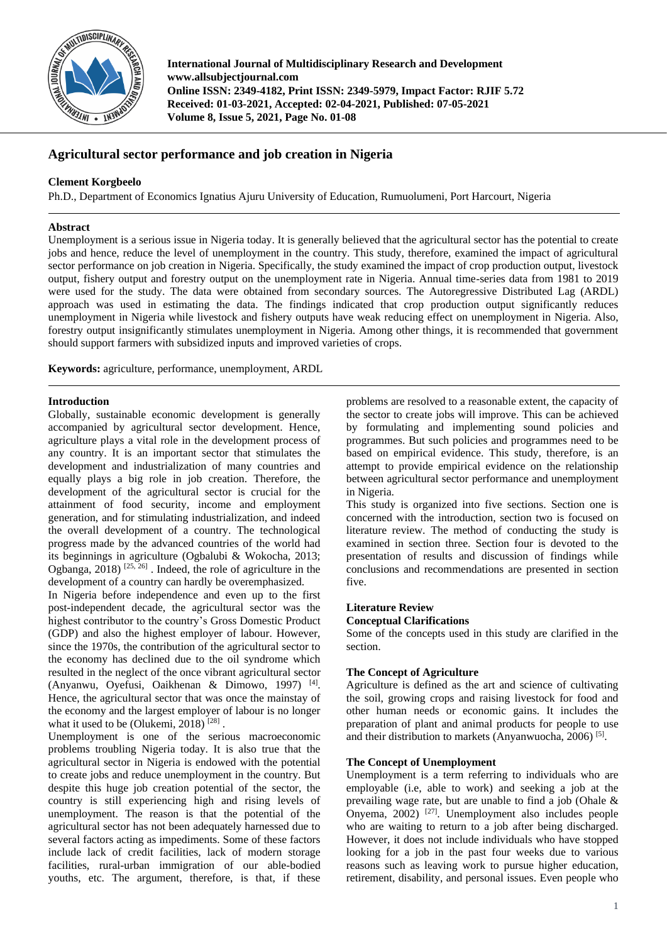

**International Journal of Multidisciplinary Research and Development www.allsubjectjournal.com Online ISSN: 2349-4182, Print ISSN: 2349-5979, Impact Factor: RJIF 5.72 Received: 01-03-2021, Accepted: 02-04-2021, Published: 07-05-2021 Volume 8, Issue 5, 2021, Page No. 01-08**

# **Agricultural sector performance and job creation in Nigeria**

## **Clement Korgbeelo**

Ph.D., Department of Economics Ignatius Ajuru University of Education, Rumuolumeni, Port Harcourt, Nigeria

## **Abstract**

Unemployment is a serious issue in Nigeria today. It is generally believed that the agricultural sector has the potential to create jobs and hence, reduce the level of unemployment in the country. This study, therefore, examined the impact of agricultural sector performance on job creation in Nigeria. Specifically, the study examined the impact of crop production output, livestock output, fishery output and forestry output on the unemployment rate in Nigeria. Annual time-series data from 1981 to 2019 were used for the study. The data were obtained from secondary sources. The Autoregressive Distributed Lag (ARDL) approach was used in estimating the data. The findings indicated that crop production output significantly reduces unemployment in Nigeria while livestock and fishery outputs have weak reducing effect on unemployment in Nigeria. Also, forestry output insignificantly stimulates unemployment in Nigeria. Among other things, it is recommended that government should support farmers with subsidized inputs and improved varieties of crops.

**Keywords:** agriculture, performance, unemployment, ARDL

## **Introduction**

Globally, sustainable economic development is generally accompanied by agricultural sector development. Hence, agriculture plays a vital role in the development process of any country. It is an important sector that stimulates the development and industrialization of many countries and equally plays a big role in job creation. Therefore, the development of the agricultural sector is crucial for the attainment of food security, income and employment generation, and for stimulating industrialization, and indeed the overall development of a country. The technological progress made by the advanced countries of the world had its beginnings in agriculture (Ogbalubi & Wokocha, 2013; Ogbanga,  $2018$ )  $^{[25, 26]}$ . Indeed, the role of agriculture in the development of a country can hardly be overemphasized.

In Nigeria before independence and even up to the first post-independent decade, the agricultural sector was the highest contributor to the country's Gross Domestic Product (GDP) and also the highest employer of labour. However, since the 1970s, the contribution of the agricultural sector to the economy has declined due to the oil syndrome which resulted in the neglect of the once vibrant agricultural sector (Anyanwu, Oyefusi, Oaikhenan & Dimowo, 1997) [4] . Hence, the agricultural sector that was once the mainstay of the economy and the largest employer of labour is no longer what it used to be (Olukemi, 2018)  $^{[28]}$ .

Unemployment is one of the serious macroeconomic problems troubling Nigeria today. It is also true that the agricultural sector in Nigeria is endowed with the potential to create jobs and reduce unemployment in the country. But despite this huge job creation potential of the sector, the country is still experiencing high and rising levels of unemployment. The reason is that the potential of the agricultural sector has not been adequately harnessed due to several factors acting as impediments. Some of these factors include lack of credit facilities, lack of modern storage facilities, rural-urban immigration of our able-bodied youths, etc. The argument, therefore, is that, if these

problems are resolved to a reasonable extent, the capacity of the sector to create jobs will improve. This can be achieved by formulating and implementing sound policies and programmes. But such policies and programmes need to be based on empirical evidence. This study, therefore, is an attempt to provide empirical evidence on the relationship between agricultural sector performance and unemployment in Nigeria.

This study is organized into five sections. Section one is concerned with the introduction, section two is focused on literature review. The method of conducting the study is examined in section three. Section four is devoted to the presentation of results and discussion of findings while conclusions and recommendations are presented in section five.

## **Literature Review Conceptual Clarifications**

Some of the concepts used in this study are clarified in the section.

## **The Concept of Agriculture**

Agriculture is defined as the art and science of cultivating the soil, growing crops and raising livestock for food and other human needs or economic gains. It includes the preparation of plant and animal products for people to use and their distribution to markets (Anyanwuocha, 2006)<sup>[5]</sup>.

## **The Concept of Unemployment**

Unemployment is a term referring to individuals who are employable (i.e, able to work) and seeking a job at the prevailing wage rate, but are unable to find a job (Ohale & Onyema, 2002) [27]. Unemployment also includes people who are waiting to return to a job after being discharged. However, it does not include individuals who have stopped looking for a job in the past four weeks due to various reasons such as leaving work to pursue higher education, retirement, disability, and personal issues. Even people who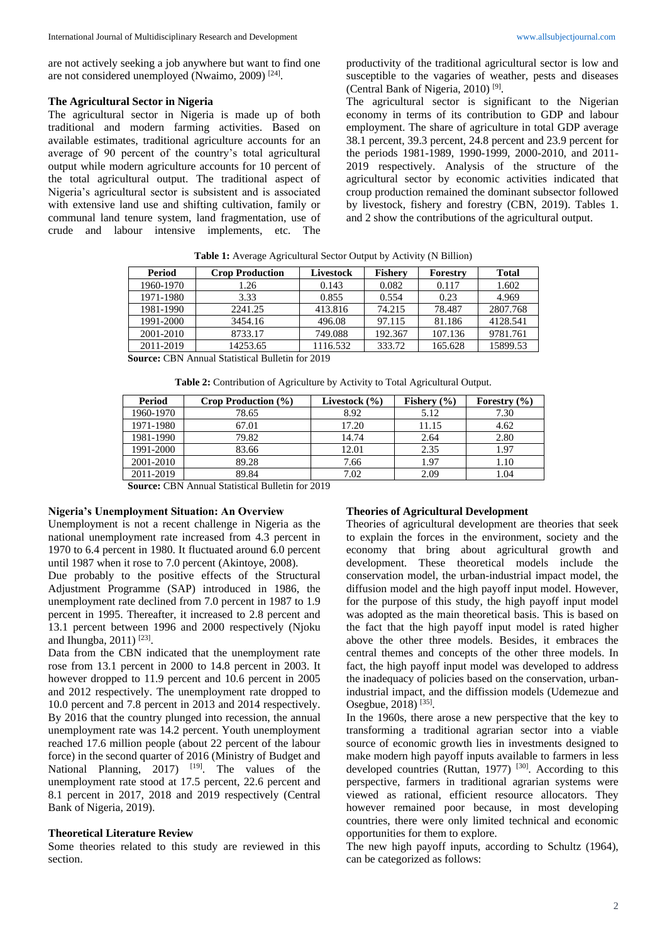are not actively seeking a job anywhere but want to find one are not considered unemployed (Nwaimo, 2009)<sup>[24]</sup>.

#### **The Agricultural Sector in Nigeria**

The agricultural sector in Nigeria is made up of both traditional and modern farming activities. Based on available estimates, traditional agriculture accounts for an average of 90 percent of the country's total agricultural output while modern agriculture accounts for 10 percent of the total agricultural output. The traditional aspect of Nigeria's agricultural sector is subsistent and is associated with extensive land use and shifting cultivation, family or communal land tenure system, land fragmentation, use of crude and labour intensive implements, etc. The productivity of the traditional agricultural sector is low and susceptible to the vagaries of weather, pests and diseases (Central Bank of Nigeria, 2010) [9] .

The agricultural sector is significant to the Nigerian economy in terms of its contribution to GDP and labour employment. The share of agriculture in total GDP average 38.1 percent, 39.3 percent, 24.8 percent and 23.9 percent for the periods 1981-1989, 1990-1999, 2000-2010, and 2011- 2019 respectively. Analysis of the structure of the agricultural sector by economic activities indicated that croup production remained the dominant subsector followed by livestock, fishery and forestry (CBN, 2019). Tables 1. and 2 show the contributions of the agricultural output.

| Period    | <b>Crop Production</b> | Livestock | <b>Fishery</b> | Forestry | <b>Total</b> |
|-----------|------------------------|-----------|----------------|----------|--------------|
| 1960-1970 | 1.26                   | 0.143     | 0.082          | 0.117    | 1.602        |
| 1971-1980 | 3.33                   | 0.855     | 0.554          | 0.23     | 4.969        |
| 1981-1990 | 2241.25                | 413.816   | 74.215         | 78.487   | 2807.768     |
| 1991-2000 | 3454.16                | 496.08    | 97.115         | 81.186   | 4128.541     |
| 2001-2010 | 8733.17                | 749.088   | 192.367        | 107.136  | 9781.761     |
| 2011-2019 | 14253.65               | 1116.532  | 333.72         | 165.628  | 15899.53     |

**Table 1:** Average Agricultural Sector Output by Activity (N Billion)

**Source:** CBN Annual Statistical Bulletin for 2019

| Table 2: Contribution of Agriculture by Activity to Total Agricultural Output. |  |  |  |  |
|--------------------------------------------------------------------------------|--|--|--|--|
|--------------------------------------------------------------------------------|--|--|--|--|

| Period    | Crop Production (%) | Livestock (%) | Fishery $(\% )$ | Forestry $(\% )$ |
|-----------|---------------------|---------------|-----------------|------------------|
| 1960-1970 | 78.65               | 8.92          | 5.12            | 7.30             |
| 1971-1980 | 67.01               | 17.20         | 11.15           | 4.62             |
| 1981-1990 | 79.82               | 14.74         | 2.64            | 2.80             |
| 1991-2000 | 83.66               | 12.01         | 2.35            | 1.97             |
| 2001-2010 | 89.28               | 7.66          | 1.97            | 1.10             |
| 2011-2019 | 89.84               | 7.02          | 2.09            | 1.04             |

**Source:** CBN Annual Statistical Bulletin for 2019

#### **Nigeria's Unemployment Situation: An Overview**

Unemployment is not a recent challenge in Nigeria as the national unemployment rate increased from 4.3 percent in 1970 to 6.4 percent in 1980. It fluctuated around 6.0 percent until 1987 when it rose to 7.0 percent (Akintoye, 2008).

Due probably to the positive effects of the Structural Adjustment Programme (SAP) introduced in 1986, the unemployment rate declined from 7.0 percent in 1987 to 1.9 percent in 1995. Thereafter, it increased to 2.8 percent and 13.1 percent between 1996 and 2000 respectively (Njoku and Ihungba, 2011)<sup>[23]</sup>.

Data from the CBN indicated that the unemployment rate rose from 13.1 percent in 2000 to 14.8 percent in 2003. It however dropped to 11.9 percent and 10.6 percent in 2005 and 2012 respectively. The unemployment rate dropped to 10.0 percent and 7.8 percent in 2013 and 2014 respectively. By 2016 that the country plunged into recession, the annual unemployment rate was 14.2 percent. Youth unemployment reached 17.6 million people (about 22 percent of the labour force) in the second quarter of 2016 (Ministry of Budget and National Planning, 2017) <sup>[19]</sup>. The values of the unemployment rate stood at 17.5 percent, 22.6 percent and 8.1 percent in 2017, 2018 and 2019 respectively (Central Bank of Nigeria, 2019).

#### **Theoretical Literature Review**

Some theories related to this study are reviewed in this section.

### **Theories of Agricultural Development**

Theories of agricultural development are theories that seek to explain the forces in the environment, society and the economy that bring about agricultural growth and development. These theoretical models include the conservation model, the urban-industrial impact model, the diffusion model and the high payoff input model. However, for the purpose of this study, the high payoff input model was adopted as the main theoretical basis. This is based on the fact that the high payoff input model is rated higher above the other three models. Besides, it embraces the central themes and concepts of the other three models. In fact, the high payoff input model was developed to address the inadequacy of policies based on the conservation, urbanindustrial impact, and the diffission models (Udemezue and Osegbue, 2018)<sup>[35]</sup>.

In the 1960s, there arose a new perspective that the key to transforming a traditional agrarian sector into a viable source of economic growth lies in investments designed to make modern high payoff inputs available to farmers in less developed countries (Ruttan, 1977) [30]. According to this perspective, farmers in traditional agrarian systems were viewed as rational, efficient resource allocators. They however remained poor because, in most developing countries, there were only limited technical and economic opportunities for them to explore.

The new high payoff inputs, according to Schultz (1964), can be categorized as follows: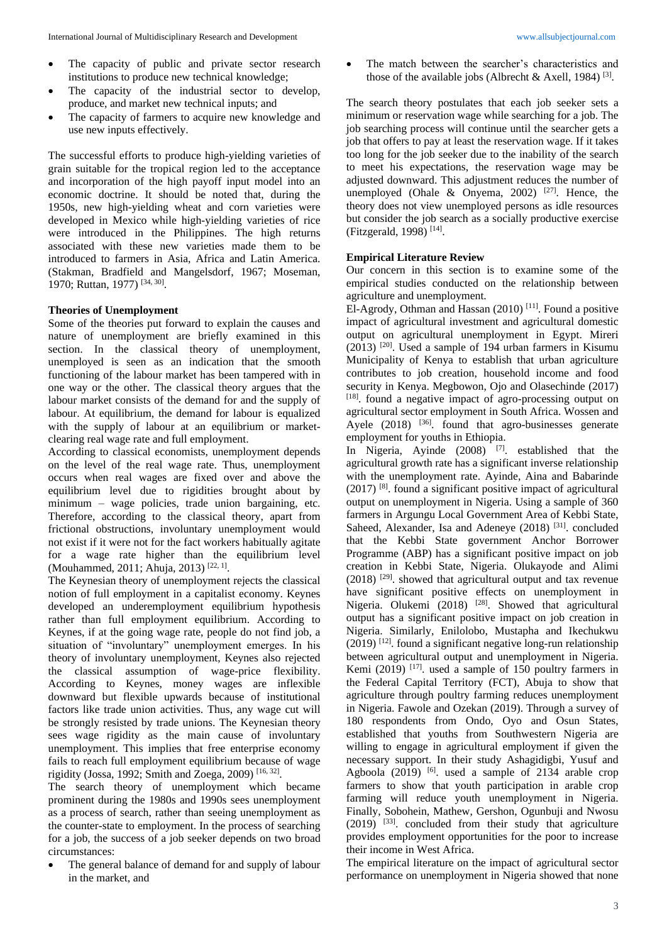- The capacity of public and private sector research institutions to produce new technical knowledge;
- The capacity of the industrial sector to develop, produce, and market new technical inputs; and
- The capacity of farmers to acquire new knowledge and use new inputs effectively.

The successful efforts to produce high-yielding varieties of grain suitable for the tropical region led to the acceptance and incorporation of the high payoff input model into an economic doctrine. It should be noted that, during the 1950s, new high-yielding wheat and corn varieties were developed in Mexico while high-yielding varieties of rice were introduced in the Philippines. The high returns associated with these new varieties made them to be introduced to farmers in Asia, Africa and Latin America. (Stakman, Bradfield and Mangelsdorf, 1967; Moseman, 1970; Ruttan, 1977)<sup>[34, 30]</sup>.

#### **Theories of Unemployment**

Some of the theories put forward to explain the causes and nature of unemployment are briefly examined in this section. In the classical theory of unemployment, unemployed is seen as an indication that the smooth functioning of the labour market has been tampered with in one way or the other. The classical theory argues that the labour market consists of the demand for and the supply of labour. At equilibrium, the demand for labour is equalized with the supply of labour at an equilibrium or marketclearing real wage rate and full employment.

According to classical economists, unemployment depends on the level of the real wage rate. Thus, unemployment occurs when real wages are fixed over and above the equilibrium level due to rigidities brought about by minimum – wage policies, trade union bargaining, etc. Therefore, according to the classical theory, apart from frictional obstructions, involuntary unemployment would not exist if it were not for the fact workers habitually agitate for a wage rate higher than the equilibrium level (Mouhammed, 2011; Ahuja, 2013)<sup>[22, 1]</sup>.

The Keynesian theory of unemployment rejects the classical notion of full employment in a capitalist economy. Keynes developed an underemployment equilibrium hypothesis rather than full employment equilibrium. According to Keynes, if at the going wage rate, people do not find job, a situation of "involuntary" unemployment emerges. In his theory of involuntary unemployment, Keynes also rejected the classical assumption of wage-price flexibility. According to Keynes, money wages are inflexible downward but flexible upwards because of institutional factors like trade union activities. Thus, any wage cut will be strongly resisted by trade unions. The Keynesian theory sees wage rigidity as the main cause of involuntary unemployment. This implies that free enterprise economy fails to reach full employment equilibrium because of wage rigidity (Jossa, 1992; Smith and Zoega, 2009) [16, 32] .

The search theory of unemployment which became prominent during the 1980s and 1990s sees unemployment as a process of search, rather than seeing unemployment as the counter-state to employment. In the process of searching for a job, the success of a job seeker depends on two broad circumstances:

The general balance of demand for and supply of labour in the market, and

The match between the searcher's characteristics and those of the available jobs (Albrecht & Axell, 1984)<sup>[3]</sup>.

The search theory postulates that each job seeker sets a minimum or reservation wage while searching for a job. The job searching process will continue until the searcher gets a job that offers to pay at least the reservation wage. If it takes too long for the job seeker due to the inability of the search to meet his expectations, the reservation wage may be adjusted downward. This adjustment reduces the number of unemployed (Ohale & Onyema, 2002)  $[27]$ . Hence, the theory does not view unemployed persons as idle resources but consider the job search as a socially productive exercise (Fitzgerald, 1998) [14] .

### **Empirical Literature Review**

Our concern in this section is to examine some of the empirical studies conducted on the relationship between agriculture and unemployment.

El-Agrody, Othman and Hassan (2010)<sup>[11]</sup>. Found a positive impact of agricultural investment and agricultural domestic output on agricultural unemployment in Egypt. Mireri (2013) [20] . Used a sample of 194 urban farmers in Kisumu Municipality of Kenya to establish that urban agriculture contributes to job creation, household income and food security in Kenya. Megbowon, Ojo and Olasechinde (2017) [18]. found a negative impact of agro-processing output on agricultural sector employment in South Africa. Wossen and Ayele  $(2018)$  <sup>[36]</sup>. found that agro-businesses generate employment for youths in Ethiopia.

In Nigeria, Ayinde  $(2008)$ <sup>[7]</sup>. established that the agricultural growth rate has a significant inverse relationship with the unemployment rate. Ayinde, Aina and Babarinde (2017) [8] . found a significant positive impact of agricultural output on unemployment in Nigeria. Using a sample of 360 farmers in Argungu Local Government Area of Kebbi State, Saheed, Alexander, Isa and Adeneye (2018)<sup>[31]</sup>. concluded that the Kebbi State government Anchor Borrower Programme (ABP) has a significant positive impact on job creation in Kebbi State, Nigeria. Olukayode and Alimi (2018) [29] . showed that agricultural output and tax revenue have significant positive effects on unemployment in Nigeria. Olukemi (2018) <sup>[28]</sup>. Showed that agricultural output has a significant positive impact on job creation in Nigeria. Similarly, Enilolobo, Mustapha and Ikechukwu (2019) [12] . found a significant negative long-run relationship between agricultural output and unemployment in Nigeria. Kemi  $(2019)$  <sup>[17]</sup>. used a sample of 150 poultry farmers in the Federal Capital Territory (FCT), Abuja to show that agriculture through poultry farming reduces unemployment in Nigeria. Fawole and Ozekan (2019). Through a survey of 180 respondents from Ondo, Oyo and Osun States, established that youths from Southwestern Nigeria are willing to engage in agricultural employment if given the necessary support. In their study Ashagidigbi, Yusuf and Agboola  $(2019)$  <sup>[6]</sup>. used a sample of 2134 arable crop farmers to show that youth participation in arable crop farming will reduce youth unemployment in Nigeria. Finally, Sobohein, Mathew, Gershon, Ogunbuji and Nwosu (2019) [33] . concluded from their study that agriculture provides employment opportunities for the poor to increase their income in West Africa.

The empirical literature on the impact of agricultural sector performance on unemployment in Nigeria showed that none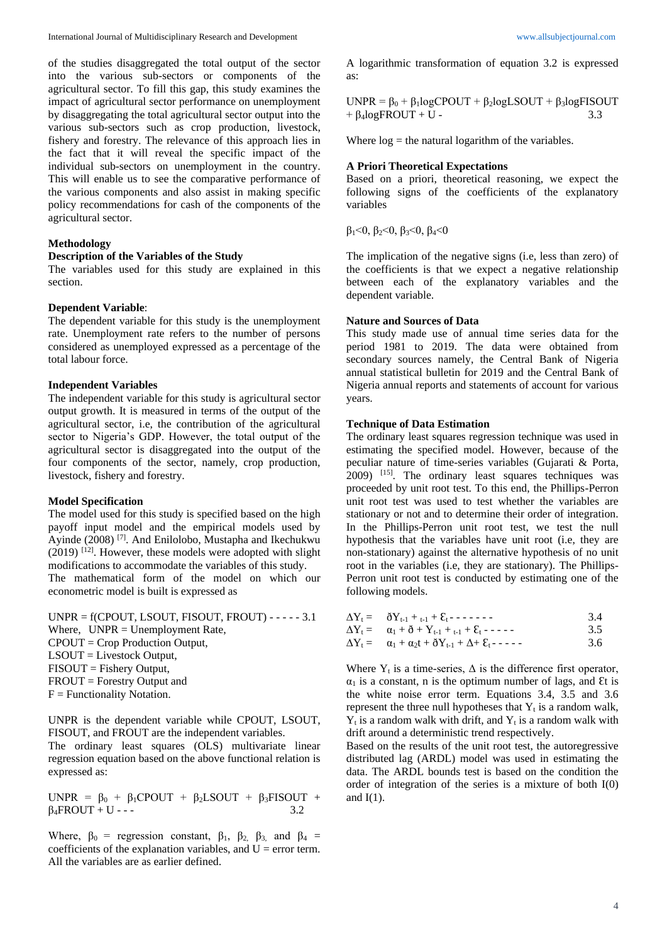of the studies disaggregated the total output of the sector into the various sub-sectors or components of the agricultural sector. To fill this gap, this study examines the impact of agricultural sector performance on unemployment by disaggregating the total agricultural sector output into the various sub-sectors such as crop production, livestock, fishery and forestry. The relevance of this approach lies in the fact that it will reveal the specific impact of the individual sub-sectors on unemployment in the country. This will enable us to see the comparative performance of the various components and also assist in making specific policy recommendations for cash of the components of the agricultural sector.

### **Methodology**

#### **Description of the Variables of the Study**

The variables used for this study are explained in this section.

#### **Dependent Variable**:

The dependent variable for this study is the unemployment rate. Unemployment rate refers to the number of persons considered as unemployed expressed as a percentage of the total labour force.

#### **Independent Variables**

The independent variable for this study is agricultural sector output growth. It is measured in terms of the output of the agricultural sector, i.e, the contribution of the agricultural sector to Nigeria's GDP. However, the total output of the agricultural sector is disaggregated into the output of the four components of the sector, namely, crop production, livestock, fishery and forestry.

#### **Model Specification**

The model used for this study is specified based on the high payoff input model and the empirical models used by Ayinde (2008)<sup>[7]</sup>. And Enilolobo, Mustapha and Ikechukwu  $(2019)$  <sup>[12]</sup>. However, these models were adopted with slight modifications to accommodate the variables of this study. The mathematical form of the model on which our econometric model is built is expressed as

UNPR =  $f(CPOUT, LSOUT, FISOUT, FROUT)$  - - - - - 3.1 Where, UNPR = Unemployment Rate, CPOUT = Crop Production Output, LSOUT = Livestock Output, FISOUT = Fishery Output, FROUT = Forestry Output and  $F = Functionality Notation.$ 

UNPR is the dependent variable while CPOUT, LSOUT, FISOUT, and FROUT are the independent variables.

The ordinary least squares (OLS) multivariate linear regression equation based on the above functional relation is expressed as:

UNPR =  $\beta_0$  +  $\beta_1$ CPOUT +  $\beta_2$ LSOUT +  $\beta_3$ FISOUT +  $\beta_4$ FROUT + U - - - 3.2

Where,  $\beta_0$  = regression constant,  $\beta_1$ ,  $\beta_2$ ,  $\beta_3$ , and  $\beta_4$  = coefficients of the explanation variables, and  $U =$  error term. All the variables are as earlier defined.

A logarithmic transformation of equation 3.2 is expressed as:

UNPR =  $\beta_0 + \beta_1 \log CPOUT + \beta_2 \log LSOUT + \beta_3 \log FISOUT$  $+ \beta_4 \text{log}$ FROUT + U - 3.3

Where  $log =$  the natural logarithm of the variables.

### **A Priori Theoretical Expectations**

Based on a priori, theoretical reasoning, we expect the following signs of the coefficients of the explanatory variables

 $β<sub>1</sub> < 0$ ,  $β<sub>2</sub> < 0$ ,  $β<sub>3</sub> < 0$ ,  $β<sub>4</sub> < 0$ 

The implication of the negative signs (i.e, less than zero) of the coefficients is that we expect a negative relationship between each of the explanatory variables and the dependent variable.

#### **Nature and Sources of Data**

This study made use of annual time series data for the period 1981 to 2019. The data were obtained from secondary sources namely, the Central Bank of Nigeria annual statistical bulletin for 2019 and the Central Bank of Nigeria annual reports and statements of account for various years.

#### **Technique of Data Estimation**

The ordinary least squares regression technique was used in estimating the specified model. However, because of the peculiar nature of time-series variables (Gujarati & Porta, 2009) [15] . The ordinary least squares techniques was proceeded by unit root test. To this end, the Phillips-Perron unit root test was used to test whether the variables are stationary or not and to determine their order of integration. In the Phillips-Perron unit root test, we test the null hypothesis that the variables have unit root (i.e, they are non-stationary) against the alternative hypothesis of no unit root in the variables (i.e, they are stationary). The Phillips-Perron unit root test is conducted by estimating one of the following models.

| $\Delta Y_t = \delta Y_{t-1} + t_{t-1} + \epsilon_t$                              | 3.4 |
|-----------------------------------------------------------------------------------|-----|
| $\Delta Y_t = \alpha_1 + \delta + Y_{t-1} + t_{t-1} + \epsilon_t$                 | 3.5 |
| $\Delta Y_t = \alpha_1 + \alpha_2 t + \delta Y_{t-1} + \Delta + \epsilon_t$ ----- | 3.6 |

Where  $Y_t$  is a time-series,  $\Delta$  is the difference first operator,  $\alpha_1$  is a constant, n is the optimum number of lags, and Et is the white noise error term. Equations 3.4, 3.5 and 3.6 represent the three null hypotheses that  $Y_t$  is a random walk,  $Y_t$  is a random walk with drift, and  $Y_t$  is a random walk with drift around a deterministic trend respectively.

Based on the results of the unit root test, the autoregressive distributed lag (ARDL) model was used in estimating the data. The ARDL bounds test is based on the condition the order of integration of the series is a mixture of both I(0) and  $I(1)$ .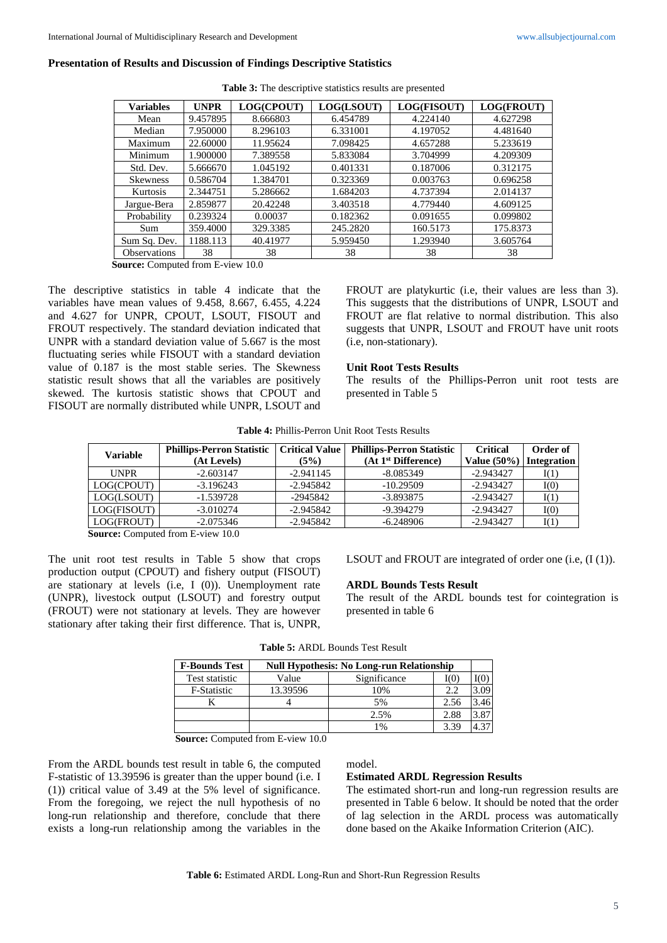|  |  |  | <b>Presentation of Results and Discussion of Findings Descriptive Statistics</b> |  |  |
|--|--|--|----------------------------------------------------------------------------------|--|--|
|--|--|--|----------------------------------------------------------------------------------|--|--|

| <b>Variables</b>    | <b>UNPR</b> | LOG(CPOUT) | LOG(LSOUT) | LOG(FISOUT) | LOG(FROUT) |
|---------------------|-------------|------------|------------|-------------|------------|
| Mean                | 9.457895    | 8.666803   | 6.454789   | 4.224140    | 4.627298   |
| Median              | 7.950000    | 8.296103   | 6.331001   | 4.197052    | 4.481640   |
| Maximum             | 22.60000    | 11.95624   | 7.098425   | 4.657288    | 5.233619   |
| Minimum             | 1.900000    | 7.389558   | 5.833084   | 3.704999    | 4.209309   |
| Std. Dev.           | 5.666670    | 1.045192   | 0.401331   | 0.187006    | 0.312175   |
| <b>Skewness</b>     | 0.586704    | 1.384701   | 0.323369   | 0.003763    | 0.696258   |
| Kurtosis            | 2.344751    | 5.286662   | 1.684203   | 4.737394    | 2.014137   |
| Jargue-Bera         | 2.859877    | 20.42248   | 3.403518   | 4.779440    | 4.609125   |
| Probability         | 0.239324    | 0.00037    | 0.182362   | 0.091655    | 0.099802   |
| Sum                 | 359.4000    | 329.3385   | 245.2820   | 160.5173    | 175.8373   |
| Sum Sq. Dev.        | 1188.113    | 40.41977   | 5.959450   | 1.293940    | 3.605764   |
| <b>Observations</b> | 38          | 38         | 38         | 38          | 38         |

**Table 3:** The descriptive statistics results are presented

**Source:** Computed from E-view 10.0

The descriptive statistics in table 4 indicate that the variables have mean values of 9.458, 8.667, 6.455, 4.224 and 4.627 for UNPR, CPOUT, LSOUT, FISOUT and FROUT respectively. The standard deviation indicated that UNPR with a standard deviation value of 5.667 is the most fluctuating series while FISOUT with a standard deviation value of 0.187 is the most stable series. The Skewness statistic result shows that all the variables are positively skewed. The kurtosis statistic shows that CPOUT and FISOUT are normally distributed while UNPR, LSOUT and

FROUT are platykurtic (i.e, their values are less than 3). This suggests that the distributions of UNPR, LSOUT and FROUT are flat relative to normal distribution. This also suggests that UNPR, LSOUT and FROUT have unit roots (i.e, non-stationary).

#### **Unit Root Tests Results**

The results of the Phillips-Perron unit root tests are presented in Table 5

| <b>Variable</b> | <b>Phillips-Perron Statistic</b><br>(At Levels) | <b>Critical Value</b><br>(5%) | <b>Phillips-Perron Statistic</b><br>(At 1 <sup>st</sup> Difference) | <b>Critical</b><br>Value $(50\%)$ | Order of<br><b>Integration</b> |
|-----------------|-------------------------------------------------|-------------------------------|---------------------------------------------------------------------|-----------------------------------|--------------------------------|
| <b>UNPR</b>     | $-2.603147$                                     | $-2.941145$                   | $-8.085349$                                                         | $-2.943427$                       | I(1)                           |
| LOG(CPOUT)      | $-3.196243$                                     | $-2.945842$                   | $-10.29509$                                                         | $-2.943427$                       | I(0)                           |
| LOG(LSOUT)      | $-1.539728$                                     | $-2945842$                    | $-3.893875$                                                         | $-2.943427$                       | I(1)                           |
| LOG(FISOUT)     | $-3.010274$                                     | $-2.945842$                   | -9.394279                                                           | $-2.943427$                       | I(0)                           |
| LOG(FROUT)      | $-2.075346$                                     | $-2.945842$                   | $-6.248906$                                                         | $-2.943427$                       | I(1)                           |

**Source:** Computed from E-view 10.0

The unit root test results in Table 5 show that crops production output (CPOUT) and fishery output (FISOUT) are stationary at levels (i.e, I (0)). Unemployment rate (UNPR), livestock output (LSOUT) and forestry output (FROUT) were not stationary at levels. They are however stationary after taking their first difference. That is, UNPR, LSOUT and FROUT are integrated of order one (i.e, (I (1)).

## **ARDL Bounds Tests Result**

The result of the ARDL bounds test for cointegration is presented in table 6

| <b>F-Bounds Test</b> | <b>Null Hypothesis: No Long-run Relationship</b> |              |      |      |  |
|----------------------|--------------------------------------------------|--------------|------|------|--|
| Test statistic       | Value                                            | Significance | I(0) |      |  |
| F-Statistic          | 13.39596                                         | 10%          | 2.2  | 3.09 |  |
|                      |                                                  | 5%           | 2.56 | 3.46 |  |
|                      |                                                  | 2.5%         | 2.88 | 3.87 |  |
|                      |                                                  | 1%           | 3.39 |      |  |

**Source:** Computed from E-view 10.0

From the ARDL bounds test result in table 6, the computed F-statistic of 13.39596 is greater than the upper bound (i.e. I (1)) critical value of 3.49 at the 5% level of significance. From the foregoing, we reject the null hypothesis of no long-run relationship and therefore, conclude that there exists a long-run relationship among the variables in the

#### model.

### **Estimated ARDL Regression Results**

The estimated short-run and long-run regression results are presented in Table 6 below. It should be noted that the order of lag selection in the ARDL process was automatically done based on the Akaike Information Criterion (AIC).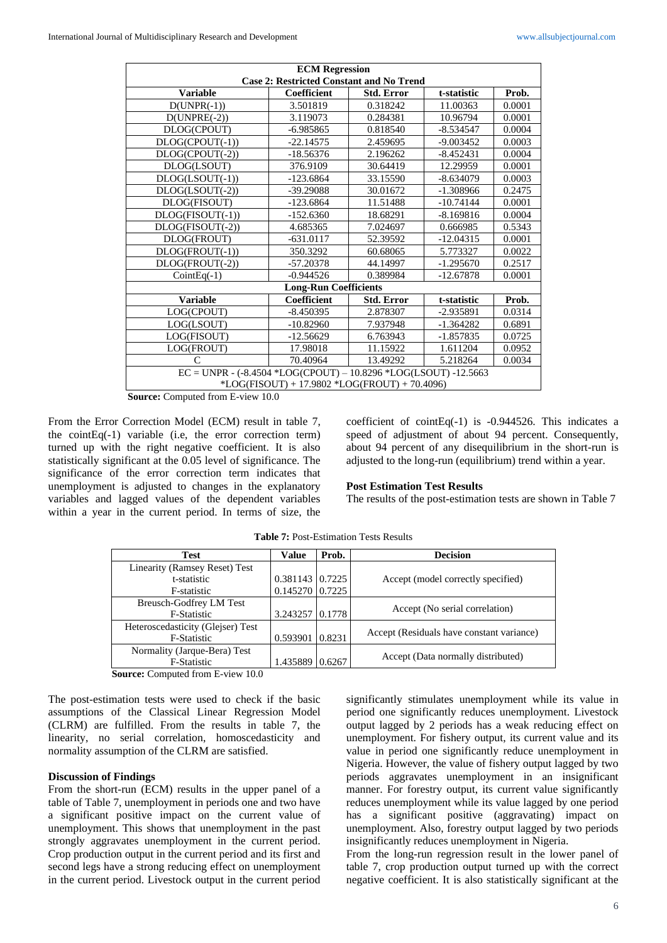| <b>ECM Regression</b>                                                 |                                               |                   |             |        |  |  |  |
|-----------------------------------------------------------------------|-----------------------------------------------|-------------------|-------------|--------|--|--|--|
| <b>Case 2: Restricted Constant and No Trend</b>                       |                                               |                   |             |        |  |  |  |
| <b>Variable</b>                                                       | Coefficient                                   | <b>Std. Error</b> | t-statistic | Prob.  |  |  |  |
| $D(UNPR(-1))$                                                         | 3.501819                                      | 0.318242          | 11.00363    | 0.0001 |  |  |  |
| $D(UNPRE(-2))$                                                        | 3.119073                                      | 0.284381          | 10.96794    | 0.0001 |  |  |  |
| DLOG(CPOUT)                                                           | $-6.985865$                                   | 0.818540          | $-8.534547$ | 0.0004 |  |  |  |
| $DLOG(CPOUT(-1))$                                                     | $-22.14575$                                   | 2.459695          | $-9.003452$ | 0.0003 |  |  |  |
| DLOG(CPOUT(-2))                                                       | $-18.56376$                                   | 2.196262          | $-8.452431$ | 0.0004 |  |  |  |
| DLOG(LSOUT)                                                           | 376.9109                                      | 30.64419          | 12.29959    | 0.0001 |  |  |  |
| $DLOG(LSOUT(-1))$                                                     | $-123.6864$                                   | 33.15590          | $-8.634079$ | 0.0003 |  |  |  |
| DLOG(LSOUT(-2))                                                       | -39.29088                                     | 30.01672          | $-1.308966$ | 0.2475 |  |  |  |
| DLOG(FISOUT)                                                          | $-123.6864$                                   | 11.51488          | $-10.74144$ | 0.0001 |  |  |  |
| $DLOG(FISOUT(-1))$                                                    | $-152.6360$                                   | 18.68291          | $-8.169816$ | 0.0004 |  |  |  |
| $DLOG(FISOUT(-2))$                                                    | 4.685365                                      | 7.024697          | 0.666985    | 0.5343 |  |  |  |
| DLOG(FROUT)                                                           | $-631.0117$                                   | 52.39592          | $-12.04315$ | 0.0001 |  |  |  |
| $DLOG(FROUT(-1))$                                                     | 350.3292                                      | 60.68065          | 5.773327    | 0.0022 |  |  |  |
| DLOG(FROUT(-2))                                                       | $-57.20378$                                   | 44.14997          | $-1.295670$ | 0.2517 |  |  |  |
| $CointEq(-1)$                                                         | $-0.944526$                                   | 0.389984          | $-12.67878$ | 0.0001 |  |  |  |
|                                                                       | <b>Long-Run Coefficients</b>                  |                   |             |        |  |  |  |
| <b>Variable</b>                                                       | Coefficient                                   | <b>Std. Error</b> | t-statistic | Prob.  |  |  |  |
| LOG(CPOUT)                                                            | $-8.450395$                                   | 2.878307          | $-2.935891$ | 0.0314 |  |  |  |
| LOG(LSOUT)                                                            | $-10.82960$                                   | 7.937948          | $-1.364282$ | 0.6891 |  |  |  |
| LOG(FISOUT)                                                           | $-12.56629$                                   | 6.763943          | $-1.857835$ | 0.0725 |  |  |  |
| LOG(FROUT)                                                            | 17.98018                                      | 11.15922          | 1.611204    | 0.0952 |  |  |  |
| $\mathsf{C}$                                                          | 70.40964                                      | 13.49292          | 5.218264    | 0.0034 |  |  |  |
| $EC = UNPR - (-8.4504 * LOG(CPOUT) - 10.8296 * LOG(LSOUT) - 12.5663$  |                                               |                   |             |        |  |  |  |
|                                                                       | *LOG(FISOUT) + 17.9802 *LOG(FROUT) + 70.4096) |                   |             |        |  |  |  |
| $\sim$<br>$\sim$ 1.0<br>$\Gamma$ $\Gamma$ $\Gamma$ $\Gamma$<br>$\sim$ |                                               |                   |             |        |  |  |  |

**Source:** Computed from E-view 10.0

From the Error Correction Model (ECM) result in table 7, the cointEq(-1) variable (i.e, the error correction term) turned up with the right negative coefficient. It is also statistically significant at the 0.05 level of significance. The significance of the error correction term indicates that unemployment is adjusted to changes in the explanatory variables and lagged values of the dependent variables within a year in the current period. In terms of size, the coefficient of cointEq(-1) is -0.944526. This indicates a speed of adjustment of about 94 percent. Consequently, about 94 percent of any disequilibrium in the short-run is adjusted to the long-run (equilibrium) trend within a year.

#### **Post Estimation Test Results**

The results of the post-estimation tests are shown in Table 7

| Test                              | <b>Value</b>      | Prob.  | <b>Decision</b>                           |
|-----------------------------------|-------------------|--------|-------------------------------------------|
| Linearity (Ramsey Reset) Test     |                   |        |                                           |
| t-statistic                       | $0.381143$ 0.7225 |        | Accept (model correctly specified)        |
| F-statistic                       | 0.145270 0.7225   |        |                                           |
| Breusch-Godfrey LM Test           |                   |        |                                           |
| <b>F-Statistic</b>                | 3.243257 0.1778   |        | Accept (No serial correlation)            |
| Heteroscedasticity (Glejser) Test |                   |        |                                           |
| F-Statistic                       | 0.593901          | 0.8231 | Accept (Residuals have constant variance) |
| Normality (Jarque-Bera) Test      |                   |        | Accept (Data normally distributed)        |
| <b>F-Statistic</b>                | 1.435889          | 0.6267 |                                           |

**Table 7:** Post-Estimation Tests Results

**Source:** Computed from E-view 10.0

The post-estimation tests were used to check if the basic assumptions of the Classical Linear Regression Model (CLRM) are fulfilled. From the results in table 7, the linearity, no serial correlation, homoscedasticity and normality assumption of the CLRM are satisfied.

## **Discussion of Findings**

From the short-run (ECM) results in the upper panel of a table of Table 7, unemployment in periods one and two have a significant positive impact on the current value of unemployment. This shows that unemployment in the past strongly aggravates unemployment in the current period. Crop production output in the current period and its first and second legs have a strong reducing effect on unemployment in the current period. Livestock output in the current period significantly stimulates unemployment while its value in period one significantly reduces unemployment. Livestock output lagged by 2 periods has a weak reducing effect on unemployment. For fishery output, its current value and its value in period one significantly reduce unemployment in Nigeria. However, the value of fishery output lagged by two periods aggravates unemployment in an insignificant manner. For forestry output, its current value significantly reduces unemployment while its value lagged by one period has a significant positive (aggravating) impact on unemployment. Also, forestry output lagged by two periods insignificantly reduces unemployment in Nigeria.

From the long-run regression result in the lower panel of table 7, crop production output turned up with the correct negative coefficient. It is also statistically significant at the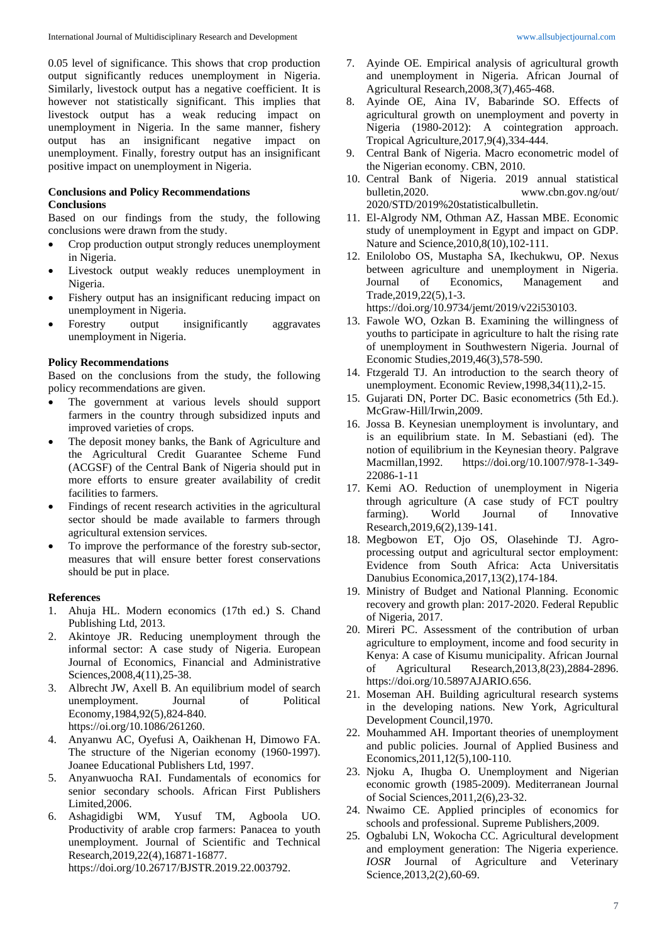0.05 level of significance. This shows that crop production output significantly reduces unemployment in Nigeria. Similarly, livestock output has a negative coefficient. It is however not statistically significant. This implies that livestock output has a weak reducing impact on unemployment in Nigeria. In the same manner, fishery output has an insignificant negative impact on unemployment. Finally, forestry output has an insignificant positive impact on unemployment in Nigeria.

## **Conclusions and Policy Recommendations Conclusions**

Based on our findings from the study, the following conclusions were drawn from the study.

- Crop production output strongly reduces unemployment in Nigeria.
- Livestock output weakly reduces unemployment in Nigeria.
- Fishery output has an insignificant reducing impact on unemployment in Nigeria.
- Forestry output insignificantly aggravates unemployment in Nigeria.

## **Policy Recommendations**

Based on the conclusions from the study, the following policy recommendations are given.

- The government at various levels should support farmers in the country through subsidized inputs and improved varieties of crops.
- The deposit money banks, the Bank of Agriculture and the Agricultural Credit Guarantee Scheme Fund (ACGSF) of the Central Bank of Nigeria should put in more efforts to ensure greater availability of credit facilities to farmers.
- Findings of recent research activities in the agricultural sector should be made available to farmers through agricultural extension services.
- To improve the performance of the forestry sub-sector, measures that will ensure better forest conservations should be put in place.

### **References**

- 1. Ahuja HL. Modern economics (17th ed.) S. Chand Publishing Ltd, 2013.
- 2. Akintoye JR. Reducing unemployment through the informal sector: A case study of Nigeria. European Journal of Economics, Financial and Administrative Sciences,2008,4(11),25-38.
- 3. Albrecht JW, Axell B. An equilibrium model of search unemployment. Journal of Political Economy,1984,92(5),824-840. https://oi.org/10.1086/261260.
- 4. Anyanwu AC, Oyefusi A, Oaikhenan H, Dimowo FA. The structure of the Nigerian economy (1960-1997). Joanee Educational Publishers Ltd, 1997.
- 5. Anyanwuocha RAI. Fundamentals of economics for senior secondary schools. African First Publishers Limited,2006.
- 6. Ashagidigbi WM, Yusuf TM, Agboola UO. Productivity of arable crop farmers: Panacea to youth unemployment. Journal of Scientific and Technical Research,2019,22(4),16871-16877.

https://doi.org/10.26717/BJSTR.2019.22.003792.

- 7. Ayinde OE. Empirical analysis of agricultural growth and unemployment in Nigeria. African Journal of Agricultural Research,2008,3(7),465-468.
- 8. Ayinde OE, Aina IV, Babarinde SO. Effects of agricultural growth on unemployment and poverty in Nigeria (1980-2012): A cointegration approach. Tropical Agriculture,2017,9(4),334-444.
- 9. Central Bank of Nigeria. Macro econometric model of the Nigerian economy. CBN, 2010.
- 10. Central Bank of Nigeria. 2019 annual statistical bulletin,2020. www.cbn.gov.ng/out/ 2020/STD/2019%20statisticalbulletin.
- 11. El-Algrody NM, Othman AZ, Hassan MBE. Economic study of unemployment in Egypt and impact on GDP. Nature and Science,2010,8(10),102-111.
- 12. Enilolobo OS, Mustapha SA, Ikechukwu, OP. Nexus between agriculture and unemployment in Nigeria. Journal of Economics, Management and Trade,2019,22(5),1-3.

https://doi.org/10.9734/jemt/2019/v22i530103.

- 13. Fawole WO, Ozkan B. Examining the willingness of youths to participate in agriculture to halt the rising rate of unemployment in Southwestern Nigeria. Journal of Economic Studies,2019,46(3),578-590.
- 14. Ftzgerald TJ. An introduction to the search theory of unemployment. Economic Review,1998,34(11),2-15.
- 15. Gujarati DN, Porter DC. Basic econometrics (5th Ed.). McGraw-Hill/Irwin,2009.
- 16. Jossa B. Keynesian unemployment is involuntary, and is an equilibrium state. In M. Sebastiani (ed). The notion of equilibrium in the Keynesian theory. Palgrave Macmillan,1992. https://doi.org/10.1007/978-1-349- 22086-1-11
- 17. Kemi AO. Reduction of unemployment in Nigeria through agriculture (A case study of FCT poultry farming). World Journal of Innovative Research,2019,6(2),139-141.
- 18. Megbowon ET, Ojo OS, Olasehinde TJ. Agroprocessing output and agricultural sector employment: Evidence from South Africa: Acta Universitatis Danubius Economica,2017,13(2),174-184.
- 19. Ministry of Budget and National Planning. Economic recovery and growth plan: 2017-2020. Federal Republic of Nigeria, 2017.
- 20. Mireri PC. Assessment of the contribution of urban agriculture to employment, income and food security in Kenya: A case of Kisumu municipality. African Journal of Agricultural Research,2013,8(23),2884-2896. https://doi.org/10.5897AJARIO.656.
- 21. Moseman AH. Building agricultural research systems in the developing nations. New York, Agricultural Development Council,1970.
- 22. Mouhammed AH. Important theories of unemployment and public policies. Journal of Applied Business and Economics,2011,12(5),100-110.
- 23. Njoku A, Ihugba O. Unemployment and Nigerian economic growth (1985-2009). Mediterranean Journal of Social Sciences,2011,2(6),23-32.
- 24. Nwaimo CE. Applied principles of economics for schools and professional. Supreme Publishers,2009.
- 25. Ogbalubi LN, Wokocha CC. Agricultural development and employment generation: The Nigeria experience. *IOSR* Journal of Agriculture and Veterinary Science,2013,2(2),60-69.